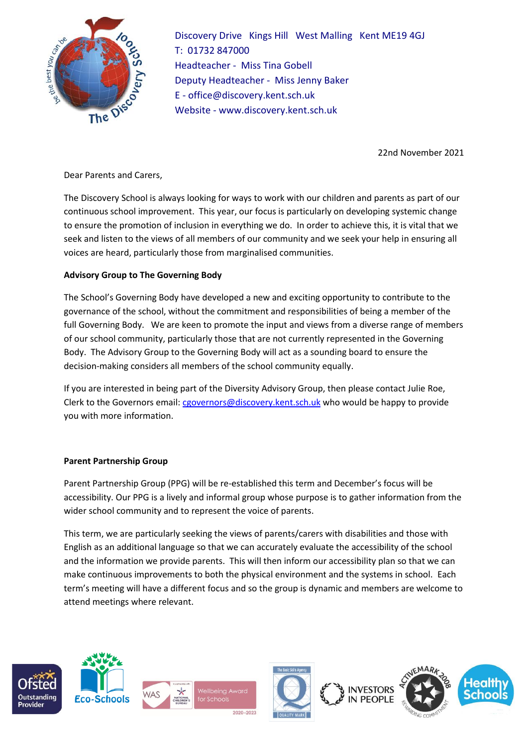

Discovery Drive Kings Hill West Malling Kent ME19 4GJ T: 01732 847000 Headteacher - Miss Tina Gobell Deputy Headteacher - Miss Jenny Baker E - office@discovery.kent.sch.uk Website - www.discovery.kent.sch.uk

22nd November 2021

Dear Parents and Carers,

The Discovery School is always looking for ways to work with our children and parents as part of our continuous school improvement. This year, our focus is particularly on developing systemic change to ensure the promotion of inclusion in everything we do. In order to achieve this, it is vital that we seek and listen to the views of all members of our community and we seek your help in ensuring all voices are heard, particularly those from marginalised communities.

## **Advisory Group to The Governing Body**

The School's Governing Body have developed a new and exciting opportunity to contribute to the governance of the school, without the commitment and responsibilities of being a member of the full Governing Body. We are keen to promote the input and views from a diverse range of members of our school community, particularly those that are not currently represented in the Governing Body. The Advisory Group to the Governing Body will act as a sounding board to ensure the decision-making considers all members of the school community equally.

If you are interested in being part of the Diversity Advisory Group, then please contact Julie Roe, Clerk to the Governors email: [cgovernors@discovery.kent.sch.uk](mailto:cgovernors@discovery.kent.sch.uk) who would be happy to provide you with more information.

## **Parent Partnership Group**

Parent Partnership Group (PPG) will be re-established this term and December's focus will be accessibility. Our PPG is a lively and informal group whose purpose is to gather information from the wider school community and to represent the voice of parents.

This term, we are particularly seeking the views of parents/carers with disabilities and those with English as an additional language so that we can accurately evaluate the accessibility of the school and the information we provide parents. This will then inform our accessibility plan so that we can make continuous improvements to both the physical environment and the systems in school. Each term's meeting will have a different focus and so the group is dynamic and members are welcome to attend meetings where relevant.

2020-2023